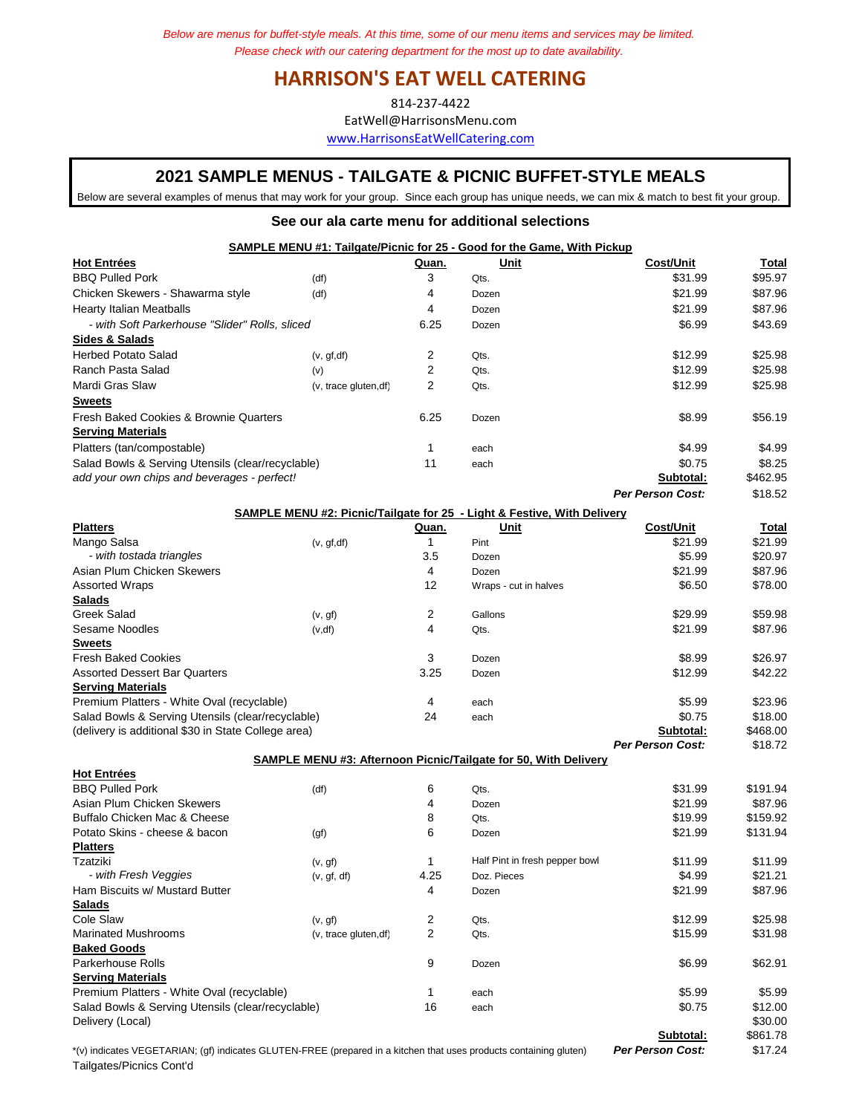## **HARRISON'S EAT WELL CATERING**

814-237-4422

EatWell@HarrisonsMenu.com

www.HarrisonsEatWellCatering.com

## **2021 SAMPLE MENUS - TAILGATE & PICNIC BUFFET-STYLE MEALS**

Below are several examples of menus that may work for your group. Since each group has unique needs, we can mix & match to best fit your group.

## **See our ala carte menu for additional selections**

|                                                   | <b>SAMPLE MENU #1: Tailgate/Picnic for 25 - Good for the Game, With Pickup</b> |       |       |                         |          |
|---------------------------------------------------|--------------------------------------------------------------------------------|-------|-------|-------------------------|----------|
| <b>Hot Entrées</b>                                |                                                                                | Quan. | Unit  | Cost/Unit               | Total    |
| <b>BBQ Pulled Pork</b>                            | (df)                                                                           | 3     | Qts.  | \$31.99                 | \$95.97  |
| Chicken Skewers - Shawarma style                  | (df)                                                                           | 4     | Dozen | \$21.99                 | \$87.96  |
| <b>Hearty Italian Meatballs</b>                   |                                                                                | 4     | Dozen | \$21.99                 | \$87.96  |
| - with Soft Parkerhouse "Slider" Rolls, sliced    |                                                                                | 6.25  | Dozen | \$6.99                  | \$43.69  |
| Sides & Salads                                    |                                                                                |       |       |                         |          |
| <b>Herbed Potato Salad</b>                        | (v, gf, df)                                                                    | 2     | Qts.  | \$12.99                 | \$25.98  |
| Ranch Pasta Salad                                 | (v)                                                                            | 2     | Qts.  | \$12.99                 | \$25.98  |
| Mardi Gras Slaw                                   | (v, trace gluten, df)                                                          | 2     | Qts.  | \$12.99                 | \$25.98  |
| <b>Sweets</b>                                     |                                                                                |       |       |                         |          |
| Fresh Baked Cookies & Brownie Quarters            |                                                                                | 6.25  | Dozen | \$8.99                  | \$56.19  |
| <b>Serving Materials</b>                          |                                                                                |       |       |                         |          |
| Platters (tan/compostable)                        |                                                                                |       | each  | \$4.99                  | \$4.99   |
| Salad Bowls & Serving Utensils (clear/recyclable) |                                                                                | 11    | each  | \$0.75                  | \$8.25   |
| add your own chips and beverages - perfect!       |                                                                                |       |       | Subtotal:               | \$462.95 |
|                                                   |                                                                                |       |       | <b>Per Person Cost:</b> | \$18.52  |
|                                                   | CAMDLE MENILL#2: Diepie/Tailasto for 25 - Light & Fostive With Dolivery        |       |       |                         |          |

| SAMPLE MENU #2: PICNIC/Taligate for 25 $\cdot$ Light & Festive, with Delivery |             |       |                                                                        |                         |          |  |  |
|-------------------------------------------------------------------------------|-------------|-------|------------------------------------------------------------------------|-------------------------|----------|--|--|
| <b>Platters</b>                                                               |             | Quan. | Unit                                                                   | <b>Cost/Unit</b>        | Total    |  |  |
| Mango Salsa                                                                   | (v, gf, df) |       | Pint                                                                   | \$21.99                 | \$21.99  |  |  |
| - with tostada triangles                                                      |             | 3.5   | Dozen                                                                  | \$5.99                  | \$20.97  |  |  |
| Asian Plum Chicken Skewers                                                    |             | 4     | Dozen                                                                  | \$21.99                 | \$87.96  |  |  |
| <b>Assorted Wraps</b>                                                         |             | 12    | Wraps - cut in halves                                                  | \$6.50                  | \$78.00  |  |  |
| <b>Salads</b>                                                                 |             |       |                                                                        |                         |          |  |  |
| Greek Salad                                                                   | (v, gf)     | 2     | Gallons                                                                | \$29.99                 | \$59.98  |  |  |
| Sesame Noodles                                                                | (v, df)     | 4     | Qts.                                                                   | \$21.99                 | \$87.96  |  |  |
| <b>Sweets</b>                                                                 |             |       |                                                                        |                         |          |  |  |
| <b>Fresh Baked Cookies</b>                                                    |             | 3     | Dozen                                                                  | \$8.99                  | \$26.97  |  |  |
| Assorted Dessert Bar Quarters                                                 |             | 3.25  | Dozen                                                                  | \$12.99                 | \$42.22  |  |  |
| <b>Serving Materials</b>                                                      |             |       |                                                                        |                         |          |  |  |
| Premium Platters - White Oval (recyclable)                                    |             | 4     | each                                                                   | \$5.99                  | \$23.96  |  |  |
| Salad Bowls & Serving Utensils (clear/recyclable)                             |             | 24    | each                                                                   | \$0.75                  | \$18.00  |  |  |
| (delivery is additional \$30 in State College area)                           |             |       |                                                                        | Subtotal:               | \$468.00 |  |  |
|                                                                               |             |       |                                                                        | <b>Per Person Cost:</b> | \$18.72  |  |  |
|                                                                               |             |       | <b>SAMPLE MENU #3: Afternoon Picnic/Tailgate for 50, With Delivery</b> |                         |          |  |  |

| <b>Hot Entrées</b>                                |                       |      |                                |           |          |
|---------------------------------------------------|-----------------------|------|--------------------------------|-----------|----------|
| <b>BBQ Pulled Pork</b>                            | (df)                  | 6    | Qts.                           | \$31.99   | \$191.94 |
| Asian Plum Chicken Skewers                        |                       | 4    | Dozen                          | \$21.99   | \$87.96  |
| Buffalo Chicken Mac & Cheese                      |                       | 8    | Qts.                           | \$19.99   | \$159.92 |
| Potato Skins - cheese & bacon                     | (gf)                  | 6    | Dozen                          | \$21.99   | \$131.94 |
| <b>Platters</b>                                   |                       |      |                                |           |          |
| Tzatziki                                          | (v, gf)               |      | Half Pint in fresh pepper bowl | \$11.99   | \$11.99  |
| - with Fresh Veggies                              | (v, gf, df)           | 4.25 | Doz. Pieces                    | \$4.99    | \$21.21  |
| Ham Biscuits w/ Mustard Butter                    |                       | 4    | Dozen                          | \$21.99   | \$87.96  |
| <b>Salads</b>                                     |                       |      |                                |           |          |
| Cole Slaw                                         | (v, gf)               | 2    | Qts.                           | \$12.99   | \$25.98  |
| <b>Marinated Mushrooms</b>                        | (v, trace gluten, df) | 2    | Qts.                           | \$15.99   | \$31.98  |
| <b>Baked Goods</b>                                |                       |      |                                |           |          |
| Parkerhouse Rolls                                 |                       | 9    | Dozen                          | \$6.99    | \$62.91  |
| <b>Serving Materials</b>                          |                       |      |                                |           |          |
| Premium Platters - White Oval (recyclable)        |                       |      | each                           | \$5.99    | \$5.99   |
| Salad Bowls & Serving Utensils (clear/recyclable) |                       | 16   | each                           | \$0.75    | \$12.00  |
| Delivery (Local)                                  |                       |      |                                |           | \$30.00  |
|                                                   |                       |      |                                | Subtotal: | \$861.78 |

\*(v) indicates VEGETARIAN; (gf) indicates GLUTEN-FREE (prepared in a kitchen that uses products containing gluten) *Per Person Cost:* \$17.24 Tailgates/Picnics Cont'd